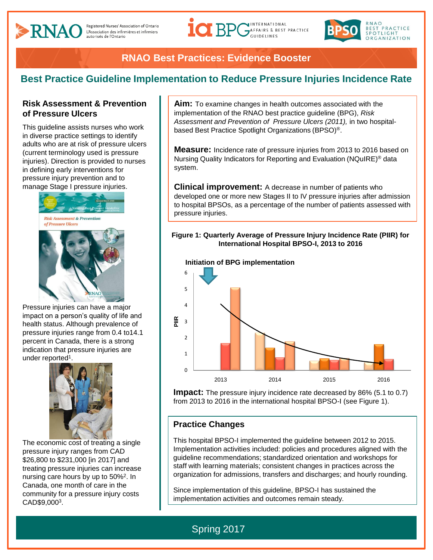

## **RNAO Best Practices: Evidence Booster**

## **Best Practice Guideline Implementation to Reduce Pressure Injuries Incidence Rate**

### **Risk Assessment & Prevention of Pressure Ulcers**

This guideline assists nurses who work in diverse practice settings to identify adults who are at risk of pressure ulcers (current terminology used is pressure injuries). Direction is provided to nurses in defining early interventions for pressure injury prevention and to manage Stage I pressure injuries.



Pressure injuries can have a major impact on a person's quality of life and health status. Although prevalence of pressure injuries range from 0.4 to14.1 percent in Canada, there is a strong indication that pressure injuries are under reported<sup>1</sup>.



The economic cost of treating a single pressure injury ranges from CAD \$26,800 to \$231,000 [in 2017] and treating pressure injuries can increase nursing care hours by up to 50%<sup>2</sup>. In Canada, one month of care in the community for a pressure injury costs CAD\$9,000<sup>3</sup> .

**Aim:** To examine changes in health outcomes associated with the implementation of the RNAO best practice guideline (BPG), *Risk*  Assessment and Prevention of Pressure Ulcers (2011), in two hospitalbased Best Practice Spotlight Organizations (BPSO)®.

**Measure:** Incidence rate of pressure injuries from 2013 to 2016 based on Nursing Quality Indicators for Reporting and Evaluation (NQuIRE) ® data system.

**Clinical improvement:** A decrease in number of patients who developed one or more new Stages II to IV pressure injuries after admission to hospital BPSOs, as a percentage of the number of patients assessed with pressure injuries.

#### **Figure 1: Quarterly Average of Pressure Injury Incidence Rate (PIIR) for International Hospital BPSO-I, 2013 to 2016**



**Initiation of BPG implementation**

**Impact:** The pressure injury incidence rate decreased by 86% (5.1 to 0.7) from 2013 to 2016 in the international hospital BPSO-I (see Figure 1).

## **Practice Changes**

This hospital BPSO-I implemented the guideline between 2012 to 2015. Implementation activities included: policies and procedures aligned with the guideline recommendations; standardized orientation and workshops for staff with learning materials; consistent changes in practices across the organization for admissions, transfers and discharges; and hourly rounding.

Since implementation of this guideline, BPSO-I has sustained the implementation activities and outcomes remain steady.

# Spring 2017